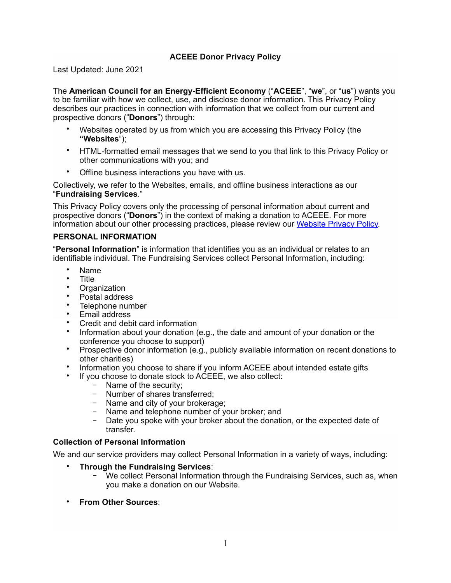# **ACEEE Donor Privacy Policy**

Last Updated: June 2021

The **American Council for an Energy-Efficient Economy** ("**ACEEE**", "**we**", or "**us**") wants you to be familiar with how we collect, use, and disclose donor information. This Privacy Policy describes our practices in connection with information that we collect from our current and prospective donors ("**Donors**") through:

- Websites operated by us from which you are accessing this Privacy Policy (the **"Websites**");
- HTML-formatted email messages that we send to you that link to this Privacy Policy or other communications with you; and
- Offline business interactions you have with us.

Collectively, we refer to the Websites, emails, and offline business interactions as our "**Fundraising Services**."

This Privacy Policy covers only the processing of personal information about current and prospective donors ("**Donors**") in the context of making a donation to ACEEE. For more information about our other processing practices, please review our [Website Privacy Policy](https://www.aceee.org/privacy-policy).

#### **PERSONAL INFORMATION**

"**Personal Information**" is information that identifies you as an individual or relates to an identifiable individual. The Fundraising Services collect Personal Information, including:

- Name
- Title
- **Organization**
- Postal address
- Telephone number
- Email address
- Credit and debit card information
- Information about your donation (e.g., the date and amount of your donation or the conference you choose to support)
- Prospective donor information (e.g., publicly available information on recent donations to other charities)
- Information you choose to share if you inform ACEEE about intended estate gifts
- If you choose to donate stock to ACEEE, we also collect:
	- − Name of the security;
	- − Number of shares transferred;
	- − Name and city of your brokerage;
	- − Name and telephone number of your broker; and
	- − Date you spoke with your broker about the donation, or the expected date of transfer.

#### **Collection of Personal Information**

We and our service providers may collect Personal Information in a variety of ways, including:

- **Through the Fundraising Services**:
	- − We collect Personal Information through the Fundraising Services, such as, when you make a donation on our Website.
- **From Other Sources**: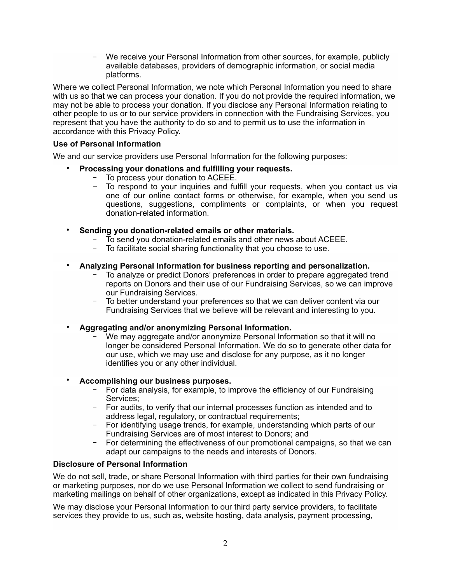We receive your Personal Information from other sources, for example, publicly available databases, providers of demographic information, or social media platforms.

Where we collect Personal Information, we note which Personal Information you need to share with us so that we can process your donation. If you do not provide the required information, we may not be able to process your donation. If you disclose any Personal Information relating to other people to us or to our service providers in connection with the Fundraising Services, you represent that you have the authority to do so and to permit us to use the information in accordance with this Privacy Policy.

#### **Use of Personal Information**

We and our service providers use Personal Information for the following purposes:

- **Processing your donations and fulfilling your requests.** 
	- − To process your donation to ACEEE.
	- To respond to your inquiries and fulfill your requests, when you contact us via one of our online contact forms or otherwise, for example, when you send us questions, suggestions, compliments or complaints, or when you request donation-related information.
- **Sending you donation-related emails or other materials.**
	- − To send you donation-related emails and other news about ACEEE.
	- − To facilitate social sharing functionality that you choose to use.

#### • **Analyzing Personal Information for business reporting and personalization.**

- To analyze or predict Donors' preferences in order to prepare aggregated trend reports on Donors and their use of our Fundraising Services, so we can improve our Fundraising Services.
- To better understand your preferences so that we can deliver content via our Fundraising Services that we believe will be relevant and interesting to you.

• **Aggregating and/or anonymizing Personal Information.** 

We may aggregate and/or anonymize Personal Information so that it will no longer be considered Personal Information. We do so to generate other data for our use, which we may use and disclose for any purpose, as it no longer identifies you or any other individual.

## • **Accomplishing our business purposes.**

- − For data analysis, for example, to improve the efficiency of our Fundraising Services;
- − For audits, to verify that our internal processes function as intended and to address legal, regulatory, or contractual requirements;
- − For identifying usage trends, for example, understanding which parts of our Fundraising Services are of most interest to Donors; and
- − For determining the effectiveness of our promotional campaigns, so that we can adapt our campaigns to the needs and interests of Donors.

#### **Disclosure of Personal Information**

We do not sell, trade, or share Personal Information with third parties for their own fundraising or marketing purposes, nor do we use Personal Information we collect to send fundraising or marketing mailings on behalf of other organizations, except as indicated in this Privacy Policy.

We may disclose your Personal Information to our third party service providers, to facilitate services they provide to us, such as, website hosting, data analysis, payment processing,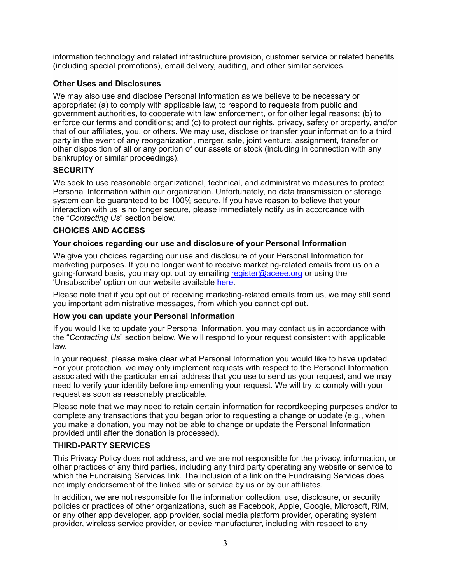information technology and related infrastructure provision, customer service or related benefits (including special promotions), email delivery, auditing, and other similar services.

# **Other Uses and Disclosures**

We may also use and disclose Personal Information as we believe to be necessary or appropriate: (a) to comply with applicable law, to respond to requests from public and government authorities, to cooperate with law enforcement, or for other legal reasons; (b) to enforce our terms and conditions; and (c) to protect our rights, privacy, safety or property, and/or that of our affiliates, you, or others. We may use, disclose or transfer your information to a third party in the event of any reorganization, merger, sale, joint venture, assignment, transfer or other disposition of all or any portion of our assets or stock (including in connection with any bankruptcy or similar proceedings).

# **SECURITY**

We seek to use reasonable organizational, technical, and administrative measures to protect Personal Information within our organization. Unfortunately, no data transmission or storage system can be guaranteed to be 100% secure. If you have reason to believe that your interaction with us is no longer secure, please immediately notify us in accordance with the "*Contacting Us*" section below.

# **CHOICES AND ACCESS**

## **Your choices regarding our use and disclosure of your Personal Information**

We give you choices regarding our use and disclosure of your Personal Information for marketing purposes. If you no longer want to receive marketing-related emails from us on a going-forward basis, you may opt out by emailing [register@aceee.org](mailto:register@aceee.org) or using the 'Unsubscribe' option on our website available [here.](https://www.aceee.org/unsubscribe)

Please note that if you opt out of receiving marketing-related emails from us, we may still send you important administrative messages, from which you cannot opt out.

## **How you can update your Personal Information**

If you would like to update your Personal Information, you may contact us in accordance with the "*Contacting Us*" section below. We will respond to your request consistent with applicable law.

In your request, please make clear what Personal Information you would like to have updated. For your protection, we may only implement requests with respect to the Personal Information associated with the particular email address that you use to send us your request, and we may need to verify your identity before implementing your request. We will try to comply with your request as soon as reasonably practicable.

Please note that we may need to retain certain information for recordkeeping purposes and/or to complete any transactions that you began prior to requesting a change or update (e.g., when you make a donation, you may not be able to change or update the Personal Information provided until after the donation is processed).

## **THIRD-PARTY SERVICES**

This Privacy Policy does not address, and we are not responsible for the privacy, information, or other practices of any third parties, including any third party operating any website or service to which the Fundraising Services link. The inclusion of a link on the Fundraising Services does not imply endorsement of the linked site or service by us or by our affiliates.

In addition, we are not responsible for the information collection, use, disclosure, or security policies or practices of other organizations, such as Facebook, Apple, Google, Microsoft, RIM, or any other app developer, app provider, social media platform provider, operating system provider, wireless service provider, or device manufacturer, including with respect to any